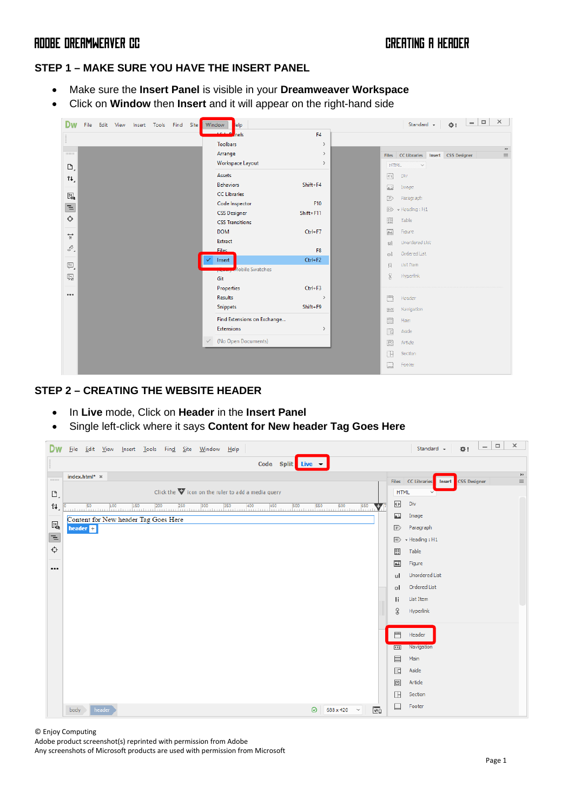### **STEP 1 – MAKE SURE YOU HAVE THE INSERT PANEL**

- Make sure the **Insert Panel** is visible in your **Dreamweaver Workspace**
- Click on **Window** then **Insert** and it will appear on the right-hand side

| Dw<br>Find Site<br>File Edit View Insert Tools | <b>Window</b><br>elp                                       | $\boldsymbol{\times}$<br>$\Box$<br>$\overline{\phantom{a}}$<br>Standard +<br>☆!                                                                                                                                                                                                                                                            |
|------------------------------------------------|------------------------------------------------------------|--------------------------------------------------------------------------------------------------------------------------------------------------------------------------------------------------------------------------------------------------------------------------------------------------------------------------------------------|
|                                                | <b>Carlos</b><br>لم<br>hels<br>F <sub>4</sub>              |                                                                                                                                                                                                                                                                                                                                            |
|                                                | <b>Toolbars</b><br>$\rightarrow$                           | $\rightarrow\,$                                                                                                                                                                                                                                                                                                                            |
| 1111111111                                     | Arrange<br>$\rightarrow$                                   | Files CC Libraries Insert CSS Designer<br>$\equiv$                                                                                                                                                                                                                                                                                         |
| D,                                             | Workspace Layout<br>$\,$                                   | HTML<br>$\checkmark$                                                                                                                                                                                                                                                                                                                       |
| î↓,                                            | Assets                                                     | <b>Oiv</b>                                                                                                                                                                                                                                                                                                                                 |
|                                                | <b>Behaviors</b><br>Shift+F4                               | C3<br>image                                                                                                                                                                                                                                                                                                                                |
| $E_{\mathbf{Q}}$                               | <b>CC Libraries</b>                                        | $\mathbb{D}$<br>Paragraph                                                                                                                                                                                                                                                                                                                  |
| $\equiv$                                       | Code Inspector<br>F10                                      | $ E\rangle$<br>· Heading : H1                                                                                                                                                                                                                                                                                                              |
| ♦                                              | <b>CSS Designer</b><br>Shift+F11<br><b>CSS Transitions</b> | E<br>Table.                                                                                                                                                                                                                                                                                                                                |
|                                                | <b>DOM</b><br>$Ctrl + F7$                                  | $\begin{bmatrix} 2 & 0 & 0 \\ 0 & 2 & 0 \\ 0 & 0 & 0 \\ 0 & 0 & 0 \\ 0 & 0 & 0 \\ 0 & 0 & 0 \\ 0 & 0 & 0 \\ 0 & 0 & 0 \\ 0 & 0 & 0 \\ 0 & 0 & 0 & 0 \\ 0 & 0 & 0 & 0 \\ 0 & 0 & 0 & 0 \\ 0 & 0 & 0 & 0 \\ 0 & 0 & 0 & 0 & 0 \\ 0 & 0 & 0 & 0 & 0 \\ 0 & 0 & 0 & 0 & 0 \\ 0 & 0 & 0 & 0 & 0 & 0 \\ 0 & 0 & 0 & 0 & 0 & 0 \\ 0 & $<br>Figure |
| $\stackrel{\leftrightarrow}{\ast}$             | Extract                                                    | Unordered List                                                                                                                                                                                                                                                                                                                             |
| ÷Õ,                                            | <b>Files</b><br>F <sub>8</sub>                             | 线                                                                                                                                                                                                                                                                                                                                          |
|                                                | $Ctrl + F2$<br>Insert                                      | Ordered List<br>ः                                                                                                                                                                                                                                                                                                                          |
| P,                                             | <b>Mobile Swatches</b>                                     | List first<br>$\sum_{\ell=0}^{N-1}$                                                                                                                                                                                                                                                                                                        |
| $\overline{\downarrow}$                        | Git                                                        | $\hat{\mathcal{L}}$<br>Hyperlink                                                                                                                                                                                                                                                                                                           |
|                                                | Properties<br>$Ctrl + F3$                                  |                                                                                                                                                                                                                                                                                                                                            |
| 0.0.0                                          | <b>Results</b><br>$\rightarrow$                            | E<br>Header                                                                                                                                                                                                                                                                                                                                |
|                                                | <b>Snippets</b><br>Shift+F9                                | Navigation<br>88                                                                                                                                                                                                                                                                                                                           |
|                                                | Find Extensions on Exchange                                | E<br>Main                                                                                                                                                                                                                                                                                                                                  |
|                                                | <b>Extensions</b><br>$\,$                                  | $\Box$<br>Auide:                                                                                                                                                                                                                                                                                                                           |
|                                                | (No Open Documents)<br>$\checkmark$                        | <b>ED</b><br>Article                                                                                                                                                                                                                                                                                                                       |
|                                                |                                                            | <b>IDB</b><br>Section                                                                                                                                                                                                                                                                                                                      |
|                                                |                                                            | c<br>Footer                                                                                                                                                                                                                                                                                                                                |
|                                                |                                                            |                                                                                                                                                                                                                                                                                                                                            |

### **STEP 2 – CREATING THE WEBSITE HEADER**

- In **Live** mode, Click on **Header** in the **Insert Panel**
- Single left-click where it says **Content for New header Tag Goes Here**

| Dw                        | Eile<br>Edit View Insert Tools Find Site Window<br>He                      |                     | Standard +                                 | ₩.           | $\Box$<br>$\overline{\phantom{a}}$ | $\times$                              |
|---------------------------|----------------------------------------------------------------------------|---------------------|--------------------------------------------|--------------|------------------------------------|---------------------------------------|
|                           | Code Split Live                                                            |                     |                                            |              |                                    |                                       |
| <b>HIHHHI</b>             | index.html* x                                                              |                     | <b>Files</b> CC Libraries<br><b>Insert</b> | CSS Designer |                                    | $\rightarrow \rightarrow$<br>$\equiv$ |
| $\mathbf{D}_{\mathbf{A}}$ | Click the $\nabla$ icon on the ruler to add a media query                  | <b>HTML</b>         |                                            |              |                                    |                                       |
| 11,                       | v                                                                          | $\leftrightarrow$   | Div                                        |              |                                    |                                       |
| $\mathbb{F}_{\mathbf{Q}}$ | Content for New header Tag Goes Here                                       | A.                  | Image                                      |              |                                    |                                       |
| E                         | header $\mathbf \boxplus$                                                  | $\mathbb{P}$        | Paragraph                                  |              |                                    |                                       |
| $\Diamond$                |                                                                            | $\overline{H}$<br>国 | $\star$ Heading: H1<br>Table               |              |                                    |                                       |
|                           |                                                                            |                     | Figure                                     |              |                                    |                                       |
| $\cdots$                  |                                                                            | ul                  | <b>Unordered List</b>                      |              |                                    |                                       |
|                           |                                                                            | $\circ$             | Ordered List                               |              |                                    |                                       |
|                           |                                                                            | Ιi                  | List Item                                  |              |                                    |                                       |
|                           |                                                                            | B                   | Hyperlink                                  |              |                                    |                                       |
|                           |                                                                            |                     |                                            |              |                                    |                                       |
|                           |                                                                            | 目                   | Header                                     |              |                                    |                                       |
|                           |                                                                            | $\boxed{43}$<br>目   | Navigation<br>Main                         |              |                                    |                                       |
|                           |                                                                            | $\Box$              | Aside                                      |              |                                    |                                       |
|                           |                                                                            | 回                   | Article                                    |              |                                    |                                       |
|                           |                                                                            | $\Box$              | Section                                    |              |                                    |                                       |
|                           | $\overline{\mathfrak{G}}$<br>header<br>688 x 420 $\sim$<br>$\odot$<br>body | ⊟                   | Footer                                     |              |                                    |                                       |

© Enjoy Computing

Adobe product screenshot(s) reprinted with permission from Adobe

Any screenshots of Microsoft products are used with permission from Microsoft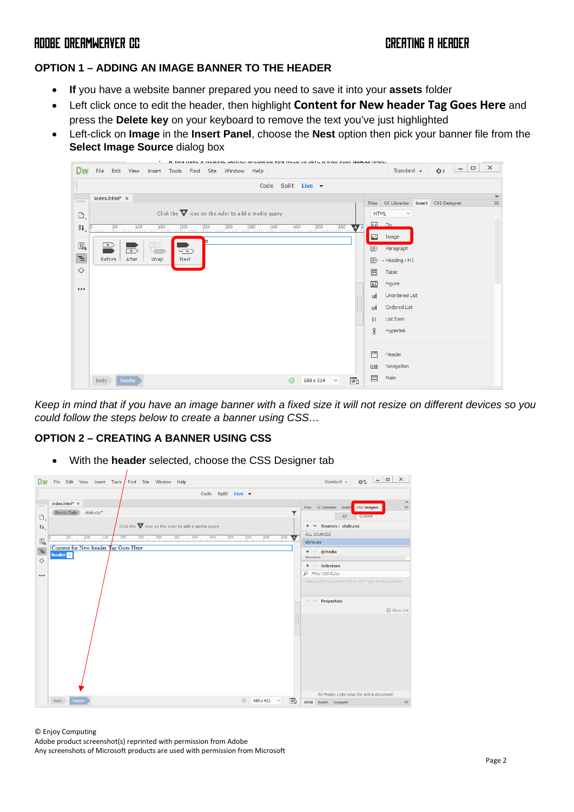## **OPTION 1 – ADDING AN IMAGE BANNER TO THE HEADER**

- **If** you have a website banner prepared you need to save it into your **assets** folder
- Left click once to edit the header, then highlight **Content for New header Tag Goes Here** and press the **Delete key** on your keyboard to remove the text you've just highlighted
- Left-click on **Image** in the **Insert Panel**, choose the **Nest** option then pick your banner file from the **Select Image Source** dialog box



*Keep in mind that if you have an image banner with a fixed size it will not resize on different devices so you could follow the steps below to create a banner using CSS…*

### **OPTION 2 – CREATING A BANNER USING CSS**

• With the **header** selected, choose the CSS Designer tab

|                      | File<br>Edit View Insert Tools<br>Find Site Window Help                                  | $\times$<br>$\Box$<br>$-1$<br>Standard +<br>0.5                                                   |
|----------------------|------------------------------------------------------------------------------------------|---------------------------------------------------------------------------------------------------|
|                      | Code Split Live $\blacktriangledown$                                                     |                                                                                                   |
| mmm<br>$\Box$        | index.html* x<br>Source Code<br>style.css*<br>▼                                          | $\rightarrow\,$<br>Files CC Libraries Insert<br><b>CSS Designer</b><br>$\equiv$<br>All<br>Current |
| $\Uparrow\downarrow$ | Click the $\nabla$ icon on the ruler to add a media query                                | + - Sources : style.css                                                                           |
|                      | 300 350 400 450 500 550 500<br>$50 \qquad \qquad 100$<br>$200$ $250$<br>150<br>$600$ 650 | ALL SOURCES                                                                                       |
| 喝                    | Content for New header Tag Goes Here                                                     | style.css                                                                                         |
| Έ                    | header <b>H</b>                                                                          | $+ -$ @Media<br><b><i><u>ULUUML</u></i></b>                                                       |
| $\Leftrightarrow$    |                                                                                          | $+ -$ Selectors                                                                                   |
|                      |                                                                                          | P Filter CSS Rules                                                                                |
|                      |                                                                                          | Select a CSS source and click on the + sign to add a selector.<br>$+ -$ Properties<br>Show Set    |
|                      | header<br>685 x 431<br>$\odot$<br>body<br>$\checkmark$<br>ग्वि                           | All Mode: Lists rules for entire document<br><b>DOM</b><br>Assets Snippets<br>$\equiv$            |
|                      |                                                                                          |                                                                                                   |

© Enjoy Computing

Adobe product screenshot(s) reprinted with permission from Adobe Any screenshots of Microsoft products are used with permission from Microsoft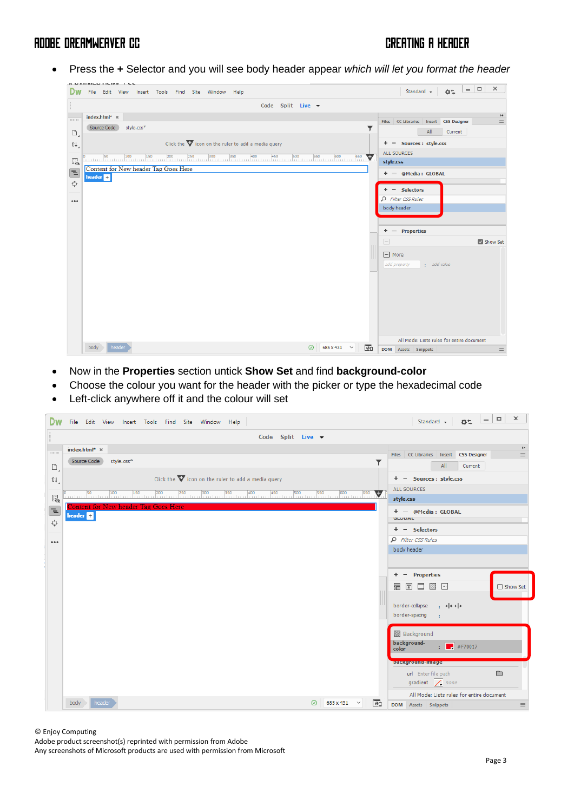• Press the **+** Selector and you will see body header appear *which will let you format the header*

|                                      | Edit View Insert Tools Find Site Window Help<br>File                  | $\times$<br>$\Box$<br>$\sim$<br>Standard +<br>0.5                   |
|--------------------------------------|-----------------------------------------------------------------------|---------------------------------------------------------------------|
|                                      | Code Split Live $\blacktriangledown$                                  |                                                                     |
| 00000                                | index.html* x                                                         | $\rightarrow$<br>Files CC Libraries Insert CSS Designer<br>$\equiv$ |
| D,                                   | Source Code<br>style.css*<br>T                                        | All<br>Current                                                      |
| î↓,                                  | Click the $\blacktriangledown$ icon on the ruler to add a media query | + - Sources : style.css                                             |
| $\overline{\mathbb{E}}_{\mathbb{Q}}$ | 550<br>500<br>600 650<br>$\frac{50}{2}$                               | ALL SOURCES<br>style.css                                            |
| $\equiv$                             | Content for New header Tag Goes Here<br>header <sup>1</sup>           | + - @Media: GLOBAL                                                  |
| $\Leftrightarrow$                    |                                                                       | + - Selectors                                                       |
| 000                                  |                                                                       | P Filter CSS Rules                                                  |
|                                      |                                                                       | body header                                                         |
|                                      |                                                                       |                                                                     |
|                                      |                                                                       | $+ -$ Properties<br>$\overline{\phantom{a}}$<br>Show Set            |
|                                      |                                                                       | - More                                                              |
|                                      |                                                                       | add property<br>: add value                                         |
|                                      |                                                                       |                                                                     |
|                                      |                                                                       |                                                                     |
|                                      |                                                                       |                                                                     |
|                                      |                                                                       |                                                                     |
|                                      |                                                                       |                                                                     |
|                                      | header<br>body ><br>$\odot$<br>685 x 431<br>$\check{~}$               | All Mode: Lists rules for entire document                           |
|                                      | $\overline{\mathbf{e}}$                                               | <b>DOM</b><br>Assets Snippets<br>$\equiv$                           |

- Now in the **Properties** section untick **Show Set** and find **background-color**
- Choose the colour you want for the header with the picker or type the hexadecimal code
- Left-click anywhere off it and the colour will set

|            |              | File Edit View Insert Tools Find Site Window Help                | Standard $\bullet$ $\bullet$ $\bullet$ $\bullet$ $\Box$<br>$\mathbf{x}$        |
|------------|--------------|------------------------------------------------------------------|--------------------------------------------------------------------------------|
|            |              | Code Split Live $\blacktriangledown$                             |                                                                                |
|            | 1111111111   | index.html* x                                                    | $\rightarrow\,$<br>Files CC Libraries Insert CSS Designer<br>$\equiv$          |
|            | $\mathbb{D}$ | Source Code<br>style.css*<br>Y                                   | All<br>Current                                                                 |
|            | î↓,          | Click the $\nabla$ icon on the ruler to add a media query        | + - Sources : style.css                                                        |
|            |              |                                                                  | ALL SOURCES                                                                    |
|            | $E_{\rm Q}$  | v                                                                | style.css                                                                      |
| $\equiv$   |              | Content for New header Tag Goes Here<br>header <b>H</b>          | + - @Media: GLOBAL<br><b>ULUUML</b>                                            |
| $\Diamond$ |              |                                                                  | $+ -$ Selectors                                                                |
|            | 0.0.0        |                                                                  | $\rho$ Filter CSS Rules                                                        |
|            |              |                                                                  | body header                                                                    |
|            |              |                                                                  |                                                                                |
|            |              |                                                                  | $+ -$ Properties                                                               |
|            |              |                                                                  | $\boxdot$ $\boxdot$ $\boxdot$ $\boxdot$ $\boxdot$<br>□ Show Set                |
|            |              |                                                                  | border-collapse $\cdot$ + + + + +                                              |
|            |              |                                                                  | border-spacing<br>$\sim 10$                                                    |
|            |              |                                                                  | <b>Background</b>                                                              |
|            |              |                                                                  | background-<br>$\frac{1}{2}$ #F70017                                           |
|            |              |                                                                  | color                                                                          |
|            |              |                                                                  | <b>Daexground=miage</b>                                                        |
|            |              |                                                                  | $\qquad \qquad \Box$<br>url Enter file path<br>gradient $\sqrt{\sqrt{2}}$ none |
|            |              |                                                                  | All Mode: Lists rules for entire document                                      |
|            |              | header<br>$685 \times 431$ $\sim$<br>body<br>$\odot$<br>$\Theta$ | <b>DOM</b> Assets Snippets<br>$\equiv$                                         |

© Enjoy Computing

Adobe product screenshot(s) reprinted with permission from Adobe

Any screenshots of Microsoft products are used with permission from Microsoft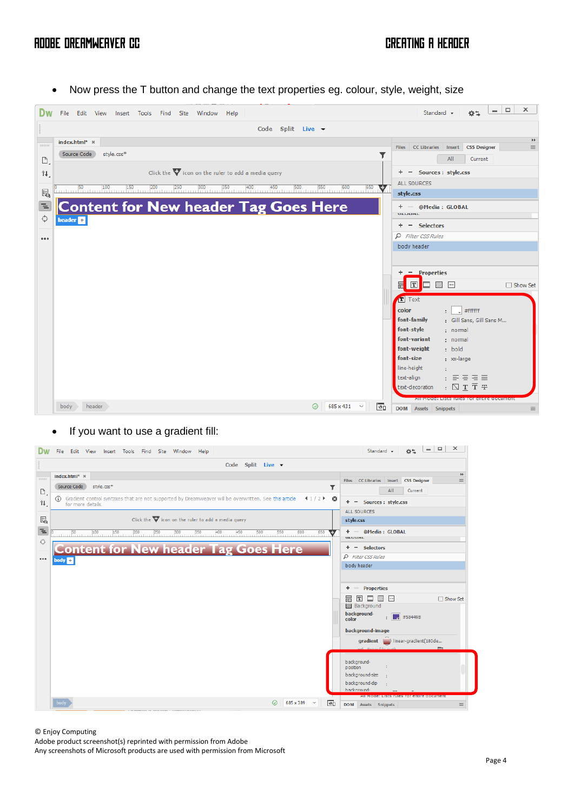• Now press the T button and change the text properties eg. colour, style, weight, size



### • If you want to use a gradient fill:

| Edit View Insert Tools Find Site Window Help<br>File                                                                                             | $-101$<br>$\mathbf{x}$<br>0.5<br>Standard +                                                                        |
|--------------------------------------------------------------------------------------------------------------------------------------------------|--------------------------------------------------------------------------------------------------------------------|
| Code Split Live $\blacktriangledown$                                                                                                             |                                                                                                                    |
| index.html* ×<br>mmm                                                                                                                             | $\blacktriangleright\blacktriangleright$<br>Files CC Libraries Insert<br><b>CSS Designer</b><br>$\equiv$           |
| Source Code<br>style.css*<br>D                                                                                                                   | T<br>All<br>Current                                                                                                |
| G Gradient control syntaxes that are not supported by Dreamweaver will be overwritten. See this article $\Box$ $\Box$<br>î↓<br>for more details. | + - Sources : style.css                                                                                            |
|                                                                                                                                                  | <b>ALL SOURCES</b>                                                                                                 |
| 喝<br>Click the $\nabla$ icon on the ruler to add a media query                                                                                   | style.css                                                                                                          |
| Έ                                                                                                                                                | + - @Media: GLOBAL<br>v<br><b>MLVUML</b>                                                                           |
| ♦<br><b>Content for New header Tag Goes Here</b>                                                                                                 | $+ -$ Selectors                                                                                                    |
| 0.0.0<br>body <b>Ell</b>                                                                                                                         | <b>Q</b> Filter CSS Rules                                                                                          |
|                                                                                                                                                  | body header                                                                                                        |
|                                                                                                                                                  |                                                                                                                    |
|                                                                                                                                                  | $+ -$ Properties                                                                                                   |
|                                                                                                                                                  | 回目<br>□ Show Set<br>盖<br>$\mathbb{Z}$ $\mathbb{Z}$<br><b>Background</b>                                            |
|                                                                                                                                                  | background-<br>$\frac{1}{2}$ #58449B                                                                               |
|                                                                                                                                                  | color                                                                                                              |
|                                                                                                                                                  | background-image                                                                                                   |
|                                                                                                                                                  | gradient (b) linear-gradient(180de<br>url Enter file nath                                                          |
|                                                                                                                                                  | background-                                                                                                        |
|                                                                                                                                                  | position<br>background-size                                                                                        |
|                                                                                                                                                  | background-dip                                                                                                     |
|                                                                                                                                                  | hackground-                                                                                                        |
| body<br>685 x 389<br>∞<br>$\checkmark$                                                                                                           | <u>All Model Eists Tuits Tor entire document</u><br>$\overline{\bullet}$<br><b>DOM</b> Assets Snippets<br>$\equiv$ |

### © Enjoy Computing

Adobe product screenshot(s) reprinted with permission from Adobe

Any screenshots of Microsoft products are used with permission from Microsoft